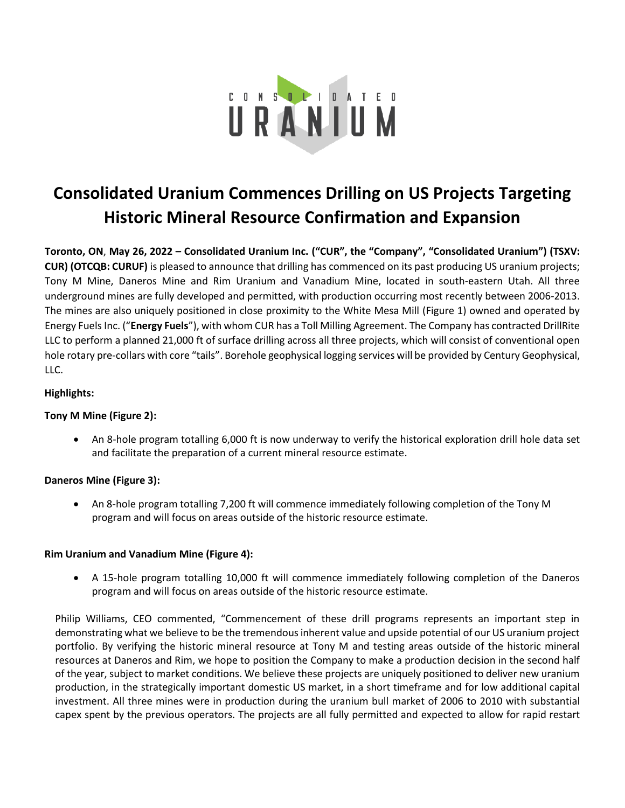

# **Consolidated Uranium Commences Drilling on US Projects Targeting Historic Mineral Resource Confirmation and Expansion**

**Toronto, ON**, **May 26, 2022 – Consolidated Uranium Inc. ("CUR", the "Company", "Consolidated Uranium") (TSXV: CUR) (OTCQB: CURUF)** is pleased to announce that drilling has commenced on its past producing US uranium projects; Tony M Mine, Daneros Mine and Rim Uranium and Vanadium Mine, located in south-eastern Utah. All three underground mines are fully developed and permitted, with production occurring most recently between 2006-2013. The mines are also uniquely positioned in close proximity to the White Mesa Mill (Figure 1) owned and operated by Energy Fuels Inc. ("**Energy Fuels**"), with whom CUR has a Toll Milling Agreement. The Company has contracted DrillRite LLC to perform a planned 21,000 ft of surface drilling across all three projects, which will consist of conventional open hole rotary pre-collars with core "tails". Borehole geophysical logging services will be provided by Century Geophysical, LLC.

## **Highlights:**

## **Tony M Mine (Figure 2):**

• An 8-hole program totalling 6,000 ft is now underway to verify the historical exploration drill hole data set and facilitate the preparation of a current mineral resource estimate.

## **Daneros Mine (Figure 3):**

• An 8-hole program totalling 7,200 ft will commence immediately following completion of the Tony M program and will focus on areas outside of the historic resource estimate.

## **Rim Uranium and Vanadium Mine (Figure 4):**

• A 15-hole program totalling 10,000 ft will commence immediately following completion of the Daneros program and will focus on areas outside of the historic resource estimate.

Philip Williams, CEO commented, "Commencement of these drill programs represents an important step in demonstrating what we believe to be the tremendous inherent value and upside potential of our US uranium project portfolio. By verifying the historic mineral resource at Tony M and testing areas outside of the historic mineral resources at Daneros and Rim, we hope to position the Company to make a production decision in the second half of the year, subject to market conditions. We believe these projects are uniquely positioned to deliver new uranium production, in the strategically important domestic US market, in a short timeframe and for low additional capital investment. All three mines were in production during the uranium bull market of 2006 to 2010 with substantial capex spent by the previous operators. The projects are all fully permitted and expected to allow for rapid restart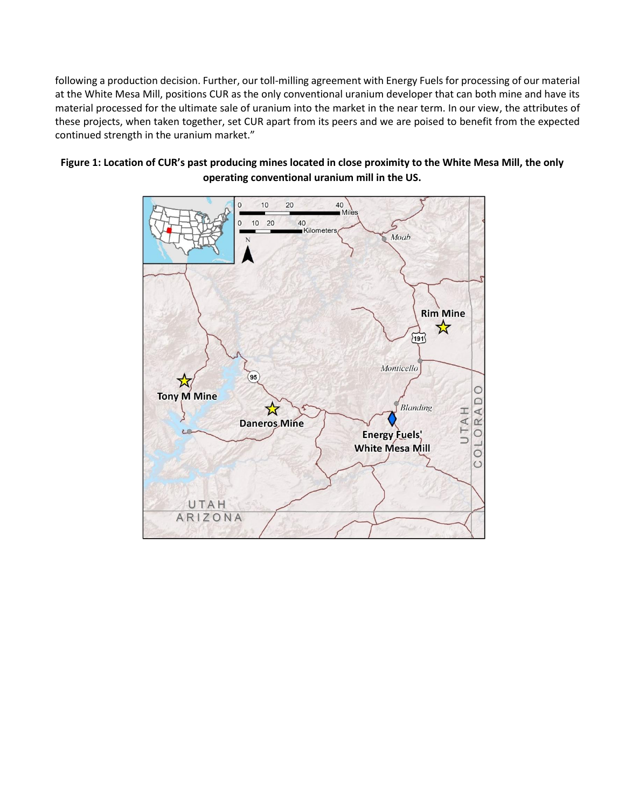following a production decision. Further, our toll-milling agreement with Energy Fuels for processing of our material at the White Mesa Mill, positions CUR as the only conventional uranium developer that can both mine and have its material processed for the ultimate sale of uranium into the market in the near term. In our view, the attributes of these projects, when taken together, set CUR apart from its peers and we are poised to benefit from the expected continued strength in the uranium market."



## **Figure 1: Location of CUR's past producing mines located in close proximity to the White Mesa Mill, the only operating conventional uranium mill in the US.**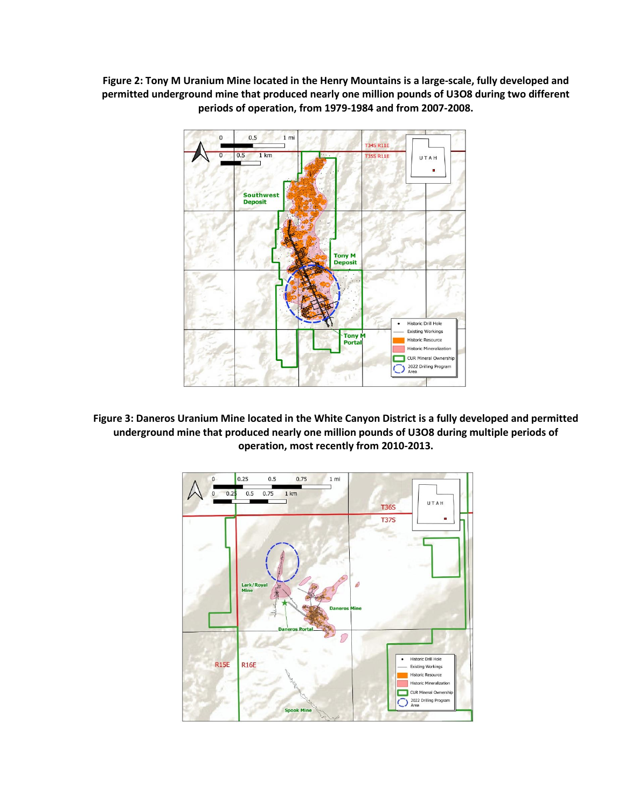**Figure 2: Tony M Uranium Mine located in the Henry Mountains is a large-scale, fully developed and permitted underground mine that produced nearly one million pounds of U3O8 during two different periods of operation, from 1979-1984 and from 2007-2008.**



**Figure 3: Daneros Uranium Mine located in the White Canyon District is a fully developed and permitted underground mine that produced nearly one million pounds of U3O8 during multiple periods of operation, most recently from 2010-2013.**

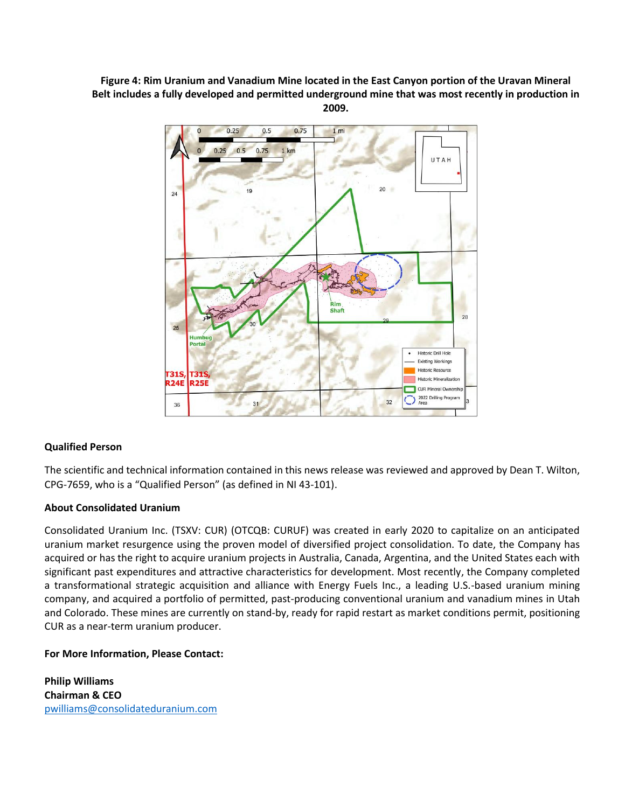**Figure 4: Rim Uranium and Vanadium Mine located in the East Canyon portion of the Uravan Mineral Belt includes a fully developed and permitted underground mine that was most recently in production in 2009.**



## **Qualified Person**

The scientific and technical information contained in this news release was reviewed and approved by Dean T. Wilton, CPG‐7659, who is a "Qualified Person" (as defined in NI 43‐101).

## **About Consolidated Uranium**

Consolidated Uranium Inc. (TSXV: CUR) (OTCQB: CURUF) was created in early 2020 to capitalize on an anticipated uranium market resurgence using the proven model of diversified project consolidation. To date, the Company has acquired or has the right to acquire uranium projects in Australia, Canada, Argentina, and the United States each with significant past expenditures and attractive characteristics for development. Most recently, the Company completed a transformational strategic acquisition and alliance with Energy Fuels Inc., a leading U.S.-based uranium mining company, and acquired a portfolio of permitted, past-producing conventional uranium and vanadium mines in Utah and Colorado. These mines are currently on stand-by, ready for rapid restart as market conditions permit, positioning CUR as a near-term uranium producer.

## **For More Information, Please Contact:**

**Philip Williams Chairman & CEO** [pwilliams@consolidateduranium.com](about:blank)